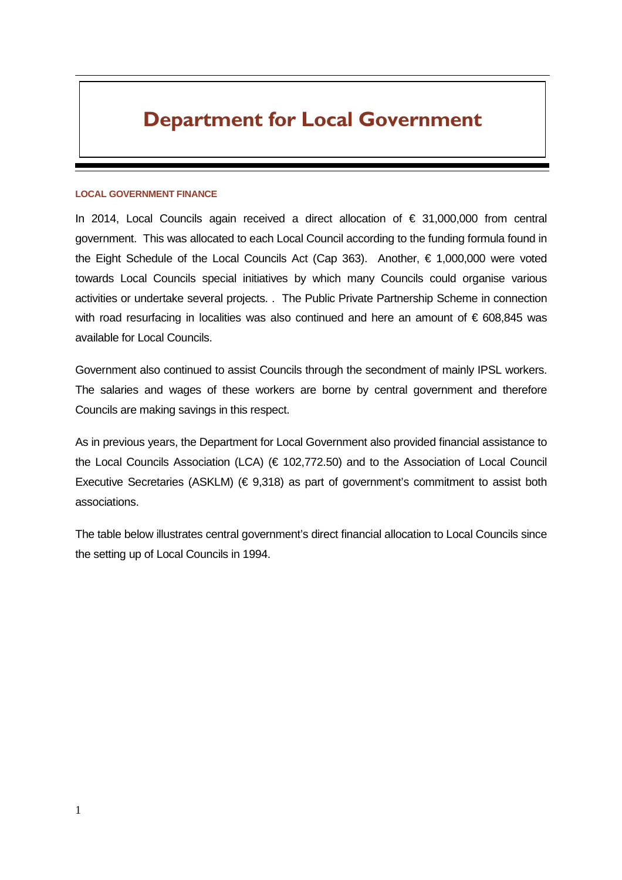# **Department for Local Government**

#### **LOCAL GOVERNMENT FINANCE**

In 2014, Local Councils again received a direct allocation of € 31,000,000 from central government. This was allocated to each Local Council according to the funding formula found in the Eight Schedule of the Local Councils Act (Cap 363). Another,  $\epsilon$  1,000,000 were voted towards Local Councils special initiatives by which many Councils could organise various activities or undertake several projects. . The Public Private Partnership Scheme in connection with road resurfacing in localities was also continued and here an amount of  $\epsilon$  608,845 was available for Local Councils.

Government also continued to assist Councils through the secondment of mainly IPSL workers. The salaries and wages of these workers are borne by central government and therefore Councils are making savings in this respect.

As in previous years, the Department for Local Government also provided financial assistance to the Local Councils Association (LCA) (€ 102,772.50) and to the Association of Local Council Executive Secretaries (ASKLM) ( $\in$  9,318) as part of government's commitment to assist both associations.

The table below illustrates central government's direct financial allocation to Local Councils since the setting up of Local Councils in 1994.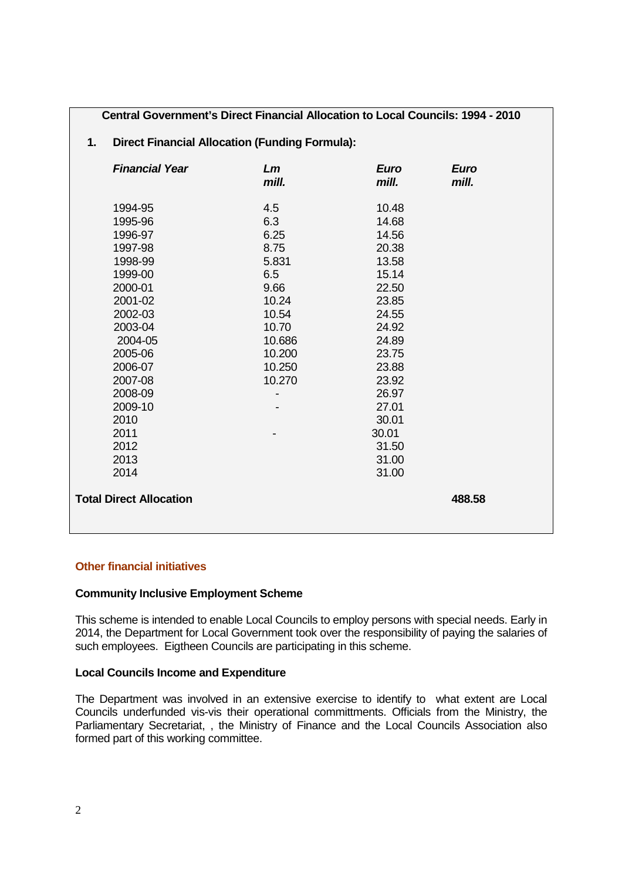**Central Government's Direct Financial Allocation to Local Councils: 1994 - 2010** 

# **1. Direct Financial Allocation (Funding Formula):**

| <b>Financial Year</b>          | Lm<br>mill.              | <b>Euro</b><br>mill. | <b>Euro</b><br>mill. |
|--------------------------------|--------------------------|----------------------|----------------------|
| 1994-95                        | 4.5                      | 10.48                |                      |
| 1995-96                        | 6.3                      | 14.68                |                      |
| 1996-97                        | 6.25                     | 14.56                |                      |
| 1997-98                        | 8.75                     | 20.38                |                      |
| 1998-99                        | 5.831                    | 13.58                |                      |
| 1999-00                        | 6.5                      | 15.14                |                      |
| 2000-01                        | 9.66                     | 22.50                |                      |
| 2001-02                        | 10.24                    | 23.85                |                      |
| 2002-03                        | 10.54                    | 24.55                |                      |
| 2003-04                        | 10.70                    | 24.92                |                      |
| 2004-05                        | 10.686                   | 24.89                |                      |
| 2005-06                        | 10.200                   | 23.75                |                      |
| 2006-07                        | 10.250                   | 23.88                |                      |
| 2007-08                        | 10.270                   | 23.92                |                      |
| 2008-09                        | $\overline{\phantom{0}}$ | 26.97                |                      |
| 2009-10                        |                          | 27.01                |                      |
| 2010                           |                          | 30.01                |                      |
| 2011                           |                          | 30.01                |                      |
| 2012                           |                          | 31.50                |                      |
| 2013                           |                          | 31.00                |                      |
| 2014                           |                          | 31.00                |                      |
| <b>Total Direct Allocation</b> |                          |                      | 488.58               |

# **Other financial initiatives**

# **Community Inclusive Employment Scheme**

This scheme is intended to enable Local Councils to employ persons with special needs. Early in 2014, the Department for Local Government took over the responsibility of paying the salaries of such employees. Eigtheen Councils are participating in this scheme.

# **Local Councils Income and Expenditure**

The Department was involved in an extensive exercise to identify to what extent are Local Councils underfunded vis-vis their operational committments. Officials from the Ministry, the Parliamentary Secretariat, , the Ministry of Finance and the Local Councils Association also formed part of this working committee.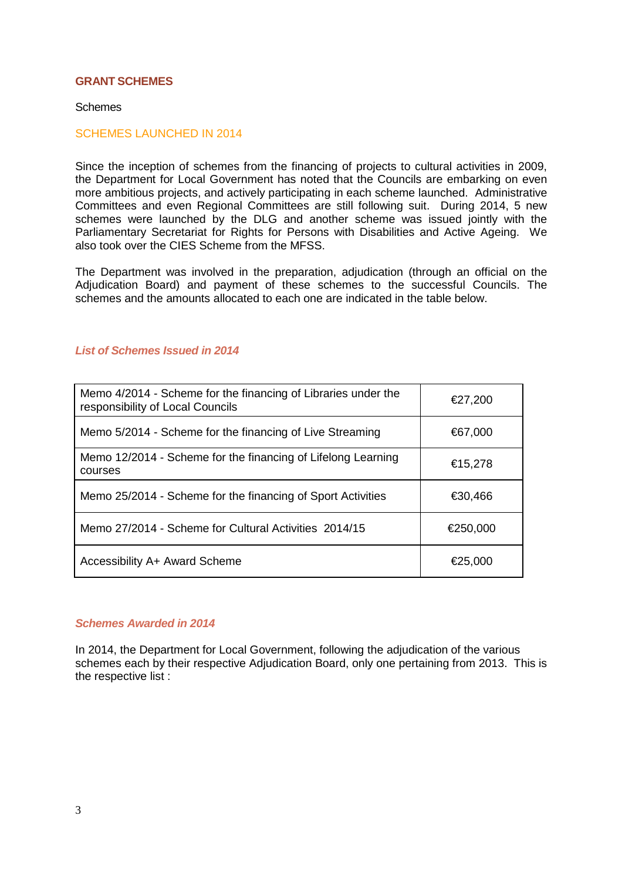#### **GRANT SCHEMES**

#### Schemes

#### SCHEMES LAUNCHED IN 2014

Since the inception of schemes from the financing of projects to cultural activities in 2009, the Department for Local Government has noted that the Councils are embarking on even more ambitious projects, and actively participating in each scheme launched. Administrative Committees and even Regional Committees are still following suit. During 2014, 5 new schemes were launched by the DLG and another scheme was issued jointly with the Parliamentary Secretariat for Rights for Persons with Disabilities and Active Ageing. We also took over the CIES Scheme from the MFSS.

The Department was involved in the preparation, adjudication (through an official on the Adjudication Board) and payment of these schemes to the successful Councils. The schemes and the amounts allocated to each one are indicated in the table below.

## **List of Schemes Issued in 2014**

| Memo 4/2014 - Scheme for the financing of Libraries under the<br>responsibility of Local Councils | €27,200  |  |  |
|---------------------------------------------------------------------------------------------------|----------|--|--|
| Memo 5/2014 - Scheme for the financing of Live Streaming                                          | €67,000  |  |  |
| Memo 12/2014 - Scheme for the financing of Lifelong Learning<br>courses                           | €15,278  |  |  |
| Memo 25/2014 - Scheme for the financing of Sport Activities                                       | €30,466  |  |  |
| Memo 27/2014 - Scheme for Cultural Activities 2014/15                                             | €250,000 |  |  |
| Accessibility A+ Award Scheme                                                                     | €25,000  |  |  |

# **Schemes Awarded in 2014**

In 2014, the Department for Local Government, following the adjudication of the various schemes each by their respective Adjudication Board, only one pertaining from 2013. This is the respective list :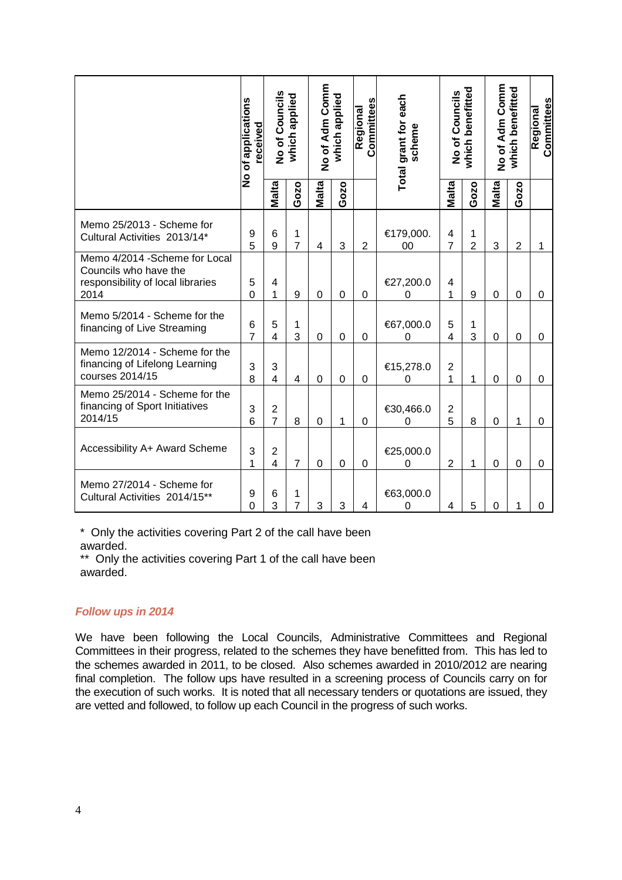|                                                                                                      | No of applications<br>received |                                           | No of Councils<br>which applied |              | No of Adm Comm<br>which applied |                | Total grant for each<br>scheme | No of Councils      | which benefitted    |              | No of Adm Comm<br>which benefitted |                  |
|------------------------------------------------------------------------------------------------------|--------------------------------|-------------------------------------------|---------------------------------|--------------|---------------------------------|----------------|--------------------------------|---------------------|---------------------|--------------|------------------------------------|------------------|
|                                                                                                      |                                | <b>Malta</b>                              | Gozo                            | <b>Malta</b> | Gozo                            |                |                                | <b>Malta</b>        | Gozo                | <b>Malta</b> | Gozo                               |                  |
| Memo 25/2013 - Scheme for<br>Cultural Activities 2013/14*                                            | 9<br>5                         | 6<br>9                                    | 1<br>$\overline{7}$             | 4            | 3                               | $\overline{2}$ | €179,000.<br>00                | 4<br>$\overline{7}$ | 1<br>$\overline{2}$ | 3            | $\overline{2}$                     | 1                |
| Memo 4/2014 - Scheme for Local<br>Councils who have the<br>responsibility of local libraries<br>2014 | 5<br>$\overline{0}$            | 4<br>1                                    | $\boldsymbol{9}$                | 0            | 0                               | 0              | €27,200.0<br>0                 | 4<br>1              | 9                   | 0            | 0                                  | $\boldsymbol{0}$ |
| Memo 5/2014 - Scheme for the<br>financing of Live Streaming                                          | 6<br>$\overline{7}$            | 5<br>4                                    | 1<br>3                          | 0            | $\mathbf 0$                     | 0              | €67,000.0<br>0                 | 5<br>$\overline{4}$ | 1<br>3              | 0            | $\mathbf 0$                        | $\mathbf 0$      |
| Memo 12/2014 - Scheme for the<br>financing of Lifelong Learning<br>courses 2014/15                   | 3<br>8                         | 3<br>$\overline{4}$                       | 4                               | $\mathbf 0$  | $\overline{0}$                  | $\Omega$       | €15,278.0<br>0                 | $\overline{2}$<br>1 | 1                   | $\Omega$     | $\mathbf 0$                        | 0                |
| Memo 25/2014 - Scheme for the<br>financing of Sport Initiatives<br>2014/15                           | 3<br>6                         | $\overline{c}$<br>$\overline{7}$          | 8                               | 0            | 1                               | $\Omega$       | €30,466.0<br>0                 | $\mathbf 2$<br>5    | 8                   | $\Omega$     | 1                                  | $\overline{0}$   |
| Accessibility A+ Award Scheme                                                                        | 3<br>1                         | $\overline{\mathbf{c}}$<br>$\overline{4}$ | $\overline{7}$                  | 0            | $\Omega$                        | $\Omega$       | €25,000.0<br>0                 | $\overline{2}$      | 1                   | 0            | 0                                  | 0                |
| Memo 27/2014 - Scheme for<br>Cultural Activities 2014/15**                                           | 9<br>0                         | 6<br>3                                    | 1<br>$\overline{7}$             | 3            | 3                               | 4              | €63,000.0<br>0                 | 4                   | 5                   | 0            | 1                                  | 0                |

\* Only the activities covering Part 2 of the call have been

awarded.

\*\* Only the activities covering Part 1 of the call have been awarded.

# **Follow ups in 2014**

We have been following the Local Councils, Administrative Committees and Regional Committees in their progress, related to the schemes they have benefitted from. This has led to the schemes awarded in 2011, to be closed. Also schemes awarded in 2010/2012 are nearing final completion. The follow ups have resulted in a screening process of Councils carry on for the execution of such works. It is noted that all necessary tenders or quotations are issued, they are vetted and followed, to follow up each Council in the progress of such works.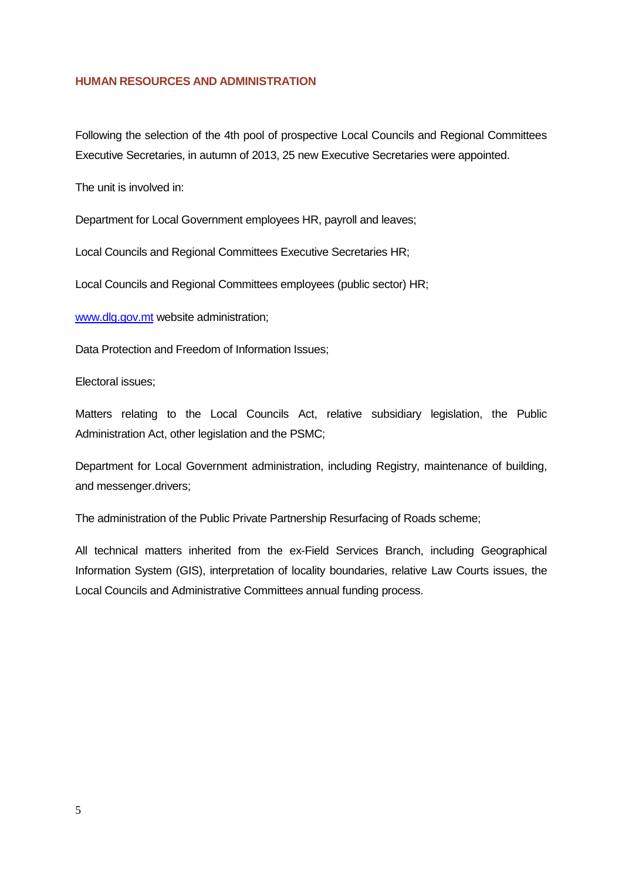### **HUMAN RESOURCES AND ADMINISTRATION**

Following the selection of the 4th pool of prospective Local Councils and Regional Committees Executive Secretaries, in autumn of 2013, 25 new Executive Secretaries were appointed.

The unit is involved in:

Department for Local Government employees HR, payroll and leaves;

Local Councils and Regional Committees Executive Secretaries HR;

Local Councils and Regional Committees employees (public sector) HR;

www.dlg.gov.mt website administration;

Data Protection and Freedom of Information Issues;

Electoral issues;

Matters relating to the Local Councils Act, relative subsidiary legislation, the Public Administration Act, other legislation and the PSMC;

Department for Local Government administration, including Registry, maintenance of building, and messenger.drivers;

The administration of the Public Private Partnership Resurfacing of Roads scheme;

All technical matters inherited from the ex-Field Services Branch, including Geographical Information System (GIS), interpretation of locality boundaries, relative Law Courts issues, the Local Councils and Administrative Committees annual funding process.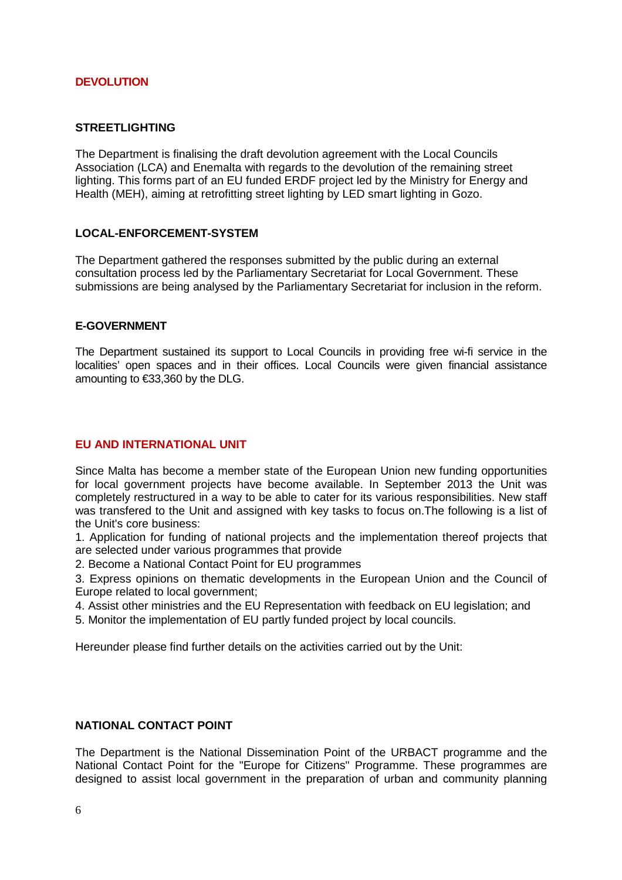### **DEVOLUTION**

### **STREETLIGHTING**

The Department is finalising the draft devolution agreement with the Local Councils Association (LCA) and Enemalta with regards to the devolution of the remaining street lighting. This forms part of an EU funded ERDF project led by the Ministry for Energy and Health (MEH), aiming at retrofitting street lighting by LED smart lighting in Gozo.

### **LOCAL-ENFORCEMENT-SYSTEM**

The Department gathered the responses submitted by the public during an external consultation process led by the Parliamentary Secretariat for Local Government. These submissions are being analysed by the Parliamentary Secretariat for inclusion in the reform.

#### **E-GOVERNMENT**

The Department sustained its support to Local Councils in providing free wi-fi service in the localities' open spaces and in their offices. Local Councils were given financial assistance amounting to €33,360 by the DLG.

## **EU AND INTERNATIONAL UNIT**

Since Malta has become a member state of the European Union new funding opportunities for local government projects have become available. In September 2013 the Unit was completely restructured in a way to be able to cater for its various responsibilities. New staff was transfered to the Unit and assigned with key tasks to focus on.The following is a list of the Unit's core business:

1. Application for funding of national projects and the implementation thereof projects that are selected under various programmes that provide

2. Become a National Contact Point for EU programmes

3. Express opinions on thematic developments in the European Union and the Council of Europe related to local government;

- 4. Assist other ministries and the EU Representation with feedback on EU legislation; and
- 5. Monitor the implementation of EU partly funded project by local councils.

Hereunder please find further details on the activities carried out by the Unit:

#### **NATIONAL CONTACT POINT**

The Department is the National Dissemination Point of the URBACT programme and the National Contact Point for the "Europe for Citizens" Programme. These programmes are designed to assist local government in the preparation of urban and community planning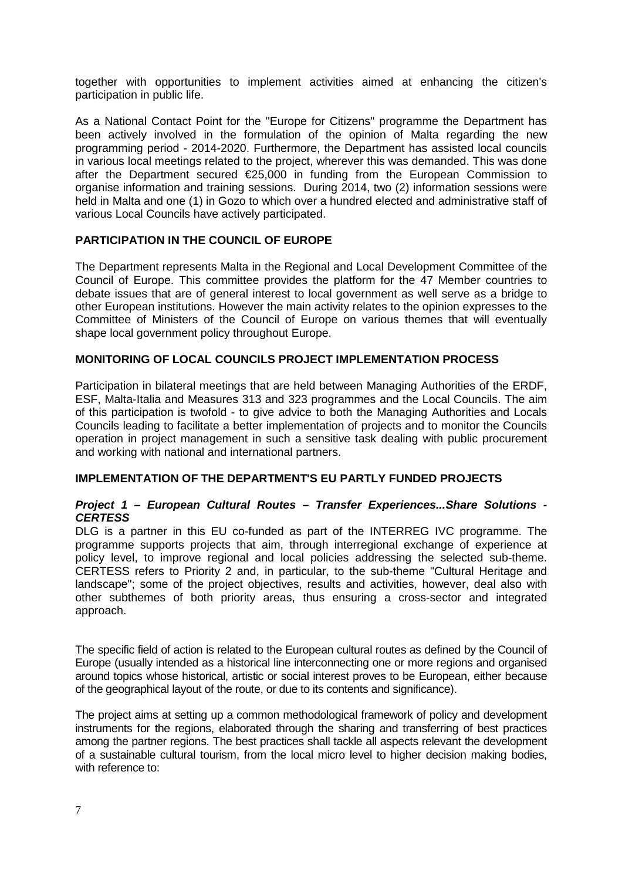together with opportunities to implement activities aimed at enhancing the citizen's participation in public life.

As a National Contact Point for the "Europe for Citizens" programme the Department has been actively involved in the formulation of the opinion of Malta regarding the new programming period - 2014-2020. Furthermore, the Department has assisted local councils in various local meetings related to the project, wherever this was demanded. This was done after the Department secured €25,000 in funding from the European Commission to organise information and training sessions. During 2014, two (2) information sessions were held in Malta and one (1) in Gozo to which over a hundred elected and administrative staff of various Local Councils have actively participated.

# **PARTICIPATION IN THE COUNCIL OF EUROPE**

The Department represents Malta in the Regional and Local Development Committee of the Council of Europe. This committee provides the platform for the 47 Member countries to debate issues that are of general interest to local government as well serve as a bridge to other European institutions. However the main activity relates to the opinion expresses to the Committee of Ministers of the Council of Europe on various themes that will eventually shape local government policy throughout Europe.

### **MONITORING OF LOCAL COUNCILS PROJECT IMPLEMENTATION PROCESS**

Participation in bilateral meetings that are held between Managing Authorities of the ERDF, ESF, Malta-Italia and Measures 313 and 323 programmes and the Local Councils. The aim of this participation is twofold - to give advice to both the Managing Authorities and Locals Councils leading to facilitate a better implementation of projects and to monitor the Councils operation in project management in such a sensitive task dealing with public procurement and working with national and international partners.

#### **IMPLEMENTATION OF THE DEPARTMENT'S EU PARTLY FUNDED PROJECTS**

#### **Project 1 – European Cultural Routes – Transfer Experiences...Share Solutions - CERTESS**

DLG is a partner in this EU co-funded as part of the INTERREG IVC programme. The programme supports projects that aim, through interregional exchange of experience at policy level, to improve regional and local policies addressing the selected sub-theme. CERTESS refers to Priority 2 and, in particular, to the sub-theme "Cultural Heritage and landscape"; some of the project objectives, results and activities, however, deal also with other subthemes of both priority areas, thus ensuring a cross-sector and integrated approach.

The specific field of action is related to the European cultural routes as defined by the Council of Europe (usually intended as a historical line interconnecting one or more regions and organised around topics whose historical, artistic or social interest proves to be European, either because of the geographical layout of the route, or due to its contents and significance).

The project aims at setting up a common methodological framework of policy and development instruments for the regions, elaborated through the sharing and transferring of best practices among the partner regions. The best practices shall tackle all aspects relevant the development of a sustainable cultural tourism, from the local micro level to higher decision making bodies, with reference to: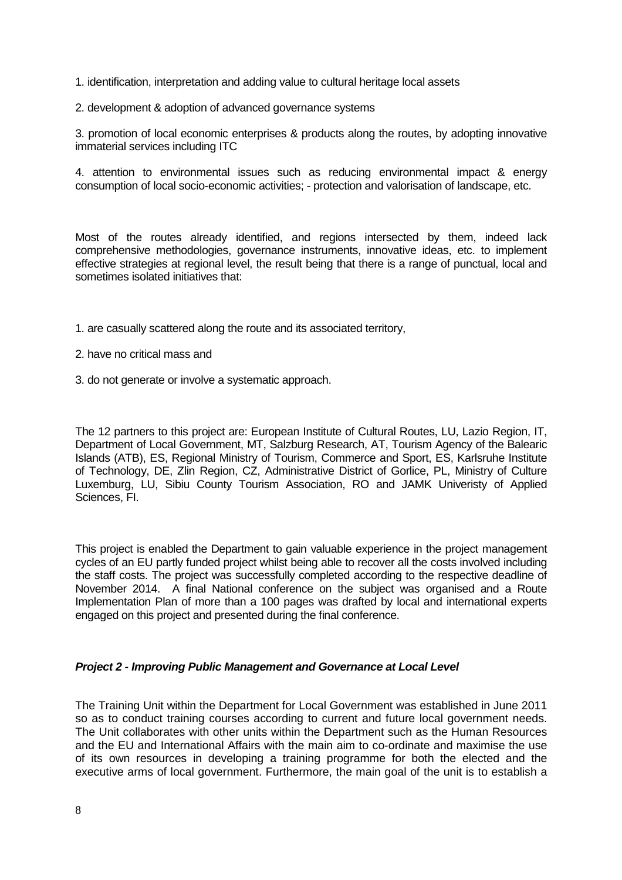- 1. identification, interpretation and adding value to cultural heritage local assets
- 2. development & adoption of advanced governance systems

3. promotion of local economic enterprises & products along the routes, by adopting innovative immaterial services including ITC

4. attention to environmental issues such as reducing environmental impact & energy consumption of local socio-economic activities; - protection and valorisation of landscape, etc.

Most of the routes already identified, and regions intersected by them, indeed lack comprehensive methodologies, governance instruments, innovative ideas, etc. to implement effective strategies at regional level, the result being that there is a range of punctual, local and sometimes isolated initiatives that:

- 1. are casually scattered along the route and its associated territory,
- 2. have no critical mass and
- 3. do not generate or involve a systematic approach.

The 12 partners to this project are: European Institute of Cultural Routes, LU, Lazio Region, IT, Department of Local Government, MT, Salzburg Research, AT, Tourism Agency of the Balearic Islands (ATB), ES, Regional Ministry of Tourism, Commerce and Sport, ES, Karlsruhe Institute of Technology, DE, Zlin Region, CZ, Administrative District of Gorlice, PL, Ministry of Culture Luxemburg, LU, Sibiu County Tourism Association, RO and JAMK Univeristy of Applied Sciences, FI.

This project is enabled the Department to gain valuable experience in the project management cycles of an EU partly funded project whilst being able to recover all the costs involved including the staff costs. The project was successfully completed according to the respective deadline of November 2014. A final National conference on the subject was organised and a Route Implementation Plan of more than a 100 pages was drafted by local and international experts engaged on this project and presented during the final conference.

#### **Project 2 - Improving Public Management and Governance at Local Level**

The Training Unit within the Department for Local Government was established in June 2011 so as to conduct training courses according to current and future local government needs. The Unit collaborates with other units within the Department such as the Human Resources and the EU and International Affairs with the main aim to co-ordinate and maximise the use of its own resources in developing a training programme for both the elected and the executive arms of local government. Furthermore, the main goal of the unit is to establish a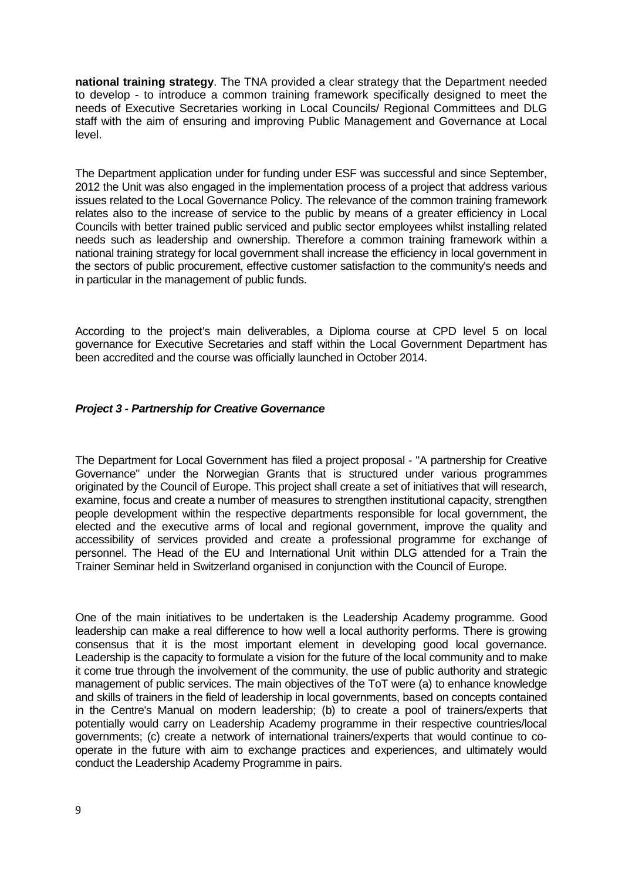**national training strategy**. The TNA provided a clear strategy that the Department needed to develop - to introduce a common training framework specifically designed to meet the needs of Executive Secretaries working in Local Councils/ Regional Committees and DLG staff with the aim of ensuring and improving Public Management and Governance at Local level.

The Department application under for funding under ESF was successful and since September, 2012 the Unit was also engaged in the implementation process of a project that address various issues related to the Local Governance Policy. The relevance of the common training framework relates also to the increase of service to the public by means of a greater efficiency in Local Councils with better trained public serviced and public sector employees whilst installing related needs such as leadership and ownership. Therefore a common training framework within a national training strategy for local government shall increase the efficiency in local government in the sectors of public procurement, effective customer satisfaction to the community's needs and in particular in the management of public funds.

According to the project's main deliverables, a Diploma course at CPD level 5 on local governance for Executive Secretaries and staff within the Local Government Department has been accredited and the course was officially launched in October 2014.

### **Project 3 - Partnership for Creative Governance**

The Department for Local Government has filed a project proposal - "A partnership for Creative Governance" under the Norwegian Grants that is structured under various programmes originated by the Council of Europe. This project shall create a set of initiatives that will research, examine, focus and create a number of measures to strengthen institutional capacity, strengthen people development within the respective departments responsible for local government, the elected and the executive arms of local and regional government, improve the quality and accessibility of services provided and create a professional programme for exchange of personnel. The Head of the EU and International Unit within DLG attended for a Train the Trainer Seminar held in Switzerland organised in conjunction with the Council of Europe.

One of the main initiatives to be undertaken is the Leadership Academy programme. Good leadership can make a real difference to how well a local authority performs. There is growing consensus that it is the most important element in developing good local governance. Leadership is the capacity to formulate a vision for the future of the local community and to make it come true through the involvement of the community, the use of public authority and strategic management of public services. The main objectives of the ToT were (a) to enhance knowledge and skills of trainers in the field of leadership in local governments, based on concepts contained in the Centre's Manual on modern leadership; (b) to create a pool of trainers/experts that potentially would carry on Leadership Academy programme in their respective countries/local governments; (c) create a network of international trainers/experts that would continue to cooperate in the future with aim to exchange practices and experiences, and ultimately would conduct the Leadership Academy Programme in pairs.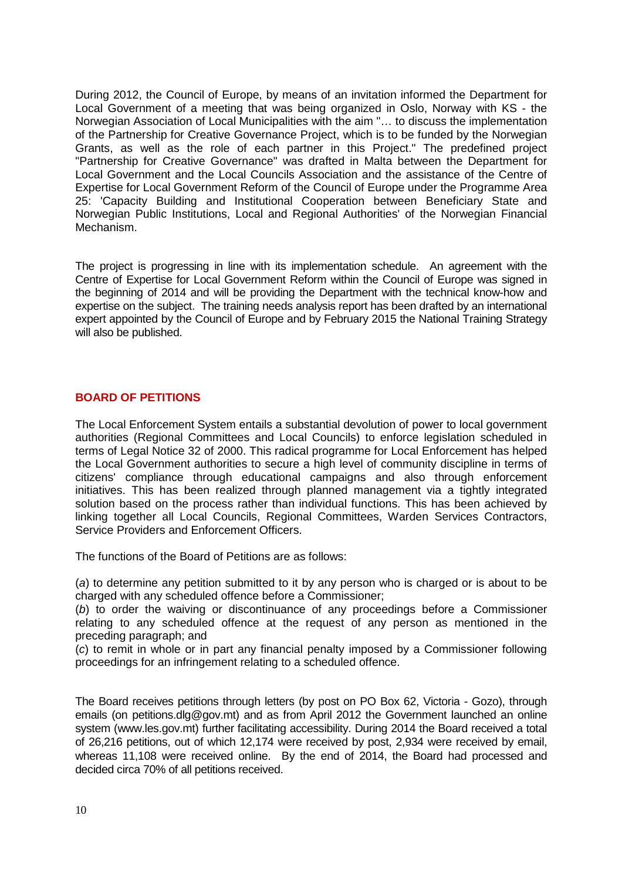During 2012, the Council of Europe, by means of an invitation informed the Department for Local Government of a meeting that was being organized in Oslo, Norway with KS - the Norwegian Association of Local Municipalities with the aim "… to discuss the implementation of the Partnership for Creative Governance Project, which is to be funded by the Norwegian Grants, as well as the role of each partner in this Project." The predefined project "Partnership for Creative Governance" was drafted in Malta between the Department for Local Government and the Local Councils Association and the assistance of the Centre of Expertise for Local Government Reform of the Council of Europe under the Programme Area 25: 'Capacity Building and Institutional Cooperation between Beneficiary State and Norwegian Public Institutions, Local and Regional Authorities' of the Norwegian Financial Mechanism.

The project is progressing in line with its implementation schedule. An agreement with the Centre of Expertise for Local Government Reform within the Council of Europe was signed in the beginning of 2014 and will be providing the Department with the technical know-how and expertise on the subject. The training needs analysis report has been drafted by an international expert appointed by the Council of Europe and by February 2015 the National Training Strategy will also be published.

# **BOARD OF PETITIONS**

The Local Enforcement System entails a substantial devolution of power to local government authorities (Regional Committees and Local Councils) to enforce legislation scheduled in terms of Legal Notice 32 of 2000. This radical programme for Local Enforcement has helped the Local Government authorities to secure a high level of community discipline in terms of citizens' compliance through educational campaigns and also through enforcement initiatives. This has been realized through planned management via a tightly integrated solution based on the process rather than individual functions. This has been achieved by linking together all Local Councils, Regional Committees, Warden Services Contractors, Service Providers and Enforcement Officers.

The functions of the Board of Petitions are as follows:

(a) to determine any petition submitted to it by any person who is charged or is about to be charged with any scheduled offence before a Commissioner;

(b) to order the waiving or discontinuance of any proceedings before a Commissioner relating to any scheduled offence at the request of any person as mentioned in the preceding paragraph; and

(c) to remit in whole or in part any financial penalty imposed by a Commissioner following proceedings for an infringement relating to a scheduled offence.

The Board receives petitions through letters (by post on PO Box 62, Victoria - Gozo), through emails (on petitions.dlg@gov.mt) and as from April 2012 the Government launched an online system (www.les.gov.mt) further facilitating accessibility. During 2014 the Board received a total of 26,216 petitions, out of which 12,174 were received by post, 2,934 were received by email, whereas 11,108 were received online. By the end of 2014, the Board had processed and decided circa 70% of all petitions received.